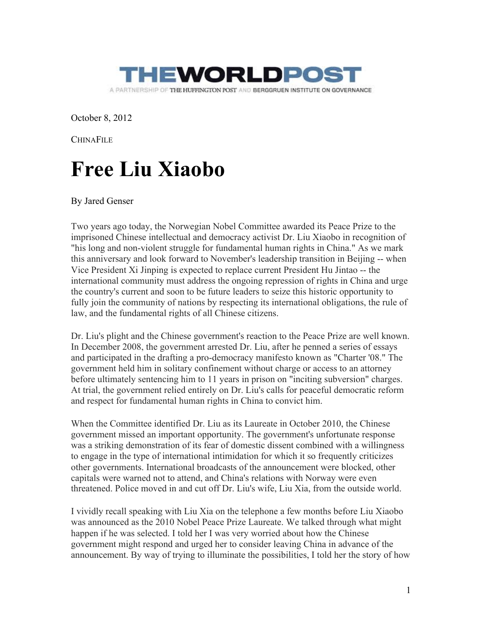

October 8, 2012

**CHINAFILE** 

## **Free Liu Xiaobo**

By Jared Genser

Two years ago today, the Norwegian Nobel Committee awarded its Peace Prize to the imprisoned Chinese intellectual and democracy activist Dr. Liu Xiaobo in recognition of "his long and non-violent struggle for fundamental human rights in China." As we mark this anniversary and look forward to November's leadership transition in Beijing -- when Vice President Xi Jinping is expected to replace current President Hu Jintao -- the international community must address the ongoing repression of rights in China and urge the country's current and soon to be future leaders to seize this historic opportunity to fully join the community of nations by respecting its international obligations, the rule of law, and the fundamental rights of all Chinese citizens.

Dr. Liu's plight and the Chinese government's reaction to the Peace Prize are well known. In December 2008, the government arrested Dr. Liu, after he penned a series of essays and participated in the drafting a pro-democracy manifesto known as "Charter '08." The government held him in solitary confinement without charge or access to an attorney before ultimately sentencing him to 11 years in prison on "inciting subversion" charges. At trial, the government relied entirely on Dr. Liu's calls for peaceful democratic reform and respect for fundamental human rights in China to convict him.

When the Committee identified Dr. Liu as its Laureate in October 2010, the Chinese government missed an important opportunity. The government's unfortunate response was a striking demonstration of its fear of domestic dissent combined with a willingness to engage in the type of international intimidation for which it so frequently criticizes other governments. International broadcasts of the announcement were blocked, other capitals were warned not to attend, and China's relations with Norway were even threatened. Police moved in and cut off Dr. Liu's wife, Liu Xia, from the outside world.

I vividly recall speaking with Liu Xia on the telephone a few months before Liu Xiaobo was announced as the 2010 Nobel Peace Prize Laureate. We talked through what might happen if he was selected. I told her I was very worried about how the Chinese government might respond and urged her to consider leaving China in advance of the announcement. By way of trying to illuminate the possibilities, I told her the story of how